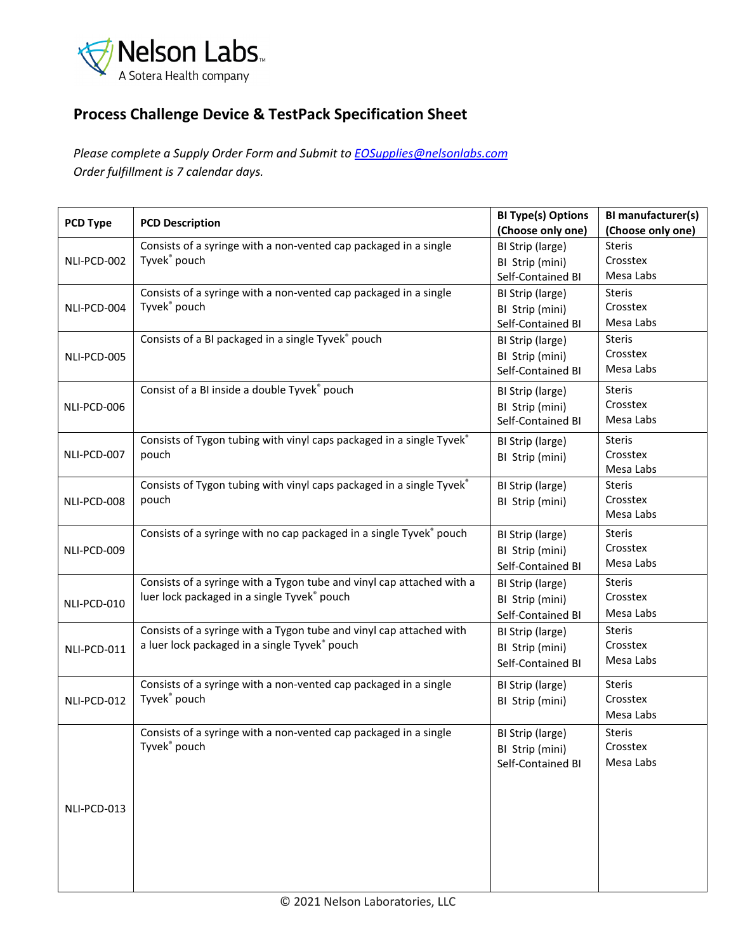

## **Process Challenge Device & TestPack Specification Sheet**

*Please complete a Supply Order Form and Submit to [EOSupplies@nelsonlabs.com](mailto:EOSupplies@nelsonlabs.com) Order fulfillment is 7 calendar days.*

| PCD Type    | <b>PCD Description</b>                                                                                               | <b>BI Type(s) Options</b><br>(Choose only one)           | BI manufacturer(s)<br>(Choose only one) |
|-------------|----------------------------------------------------------------------------------------------------------------------|----------------------------------------------------------|-----------------------------------------|
| NLI-PCD-002 | Consists of a syringe with a non-vented cap packaged in a single<br>Tyvek <sup>®</sup> pouch                         | BI Strip (large)<br>BI Strip (mini)<br>Self-Contained BI | <b>Steris</b><br>Crosstex<br>Mesa Labs  |
| NLI-PCD-004 | Consists of a syringe with a non-vented cap packaged in a single<br>Tyvek® pouch                                     | BI Strip (large)<br>BI Strip (mini)<br>Self-Contained BI | <b>Steris</b><br>Crosstex<br>Mesa Labs  |
| NLI-PCD-005 | Consists of a BI packaged in a single Tyvek® pouch                                                                   | BI Strip (large)<br>BI Strip (mini)<br>Self-Contained BI | <b>Steris</b><br>Crosstex<br>Mesa Labs  |
| NLI-PCD-006 | Consist of a BI inside a double Tyvek® pouch                                                                         | BI Strip (large)<br>BI Strip (mini)<br>Self-Contained BI | <b>Steris</b><br>Crosstex<br>Mesa Labs  |
| NLI-PCD-007 | Consists of Tygon tubing with vinyl caps packaged in a single Tyvek®<br>pouch                                        | BI Strip (large)<br>BI Strip (mini)                      | <b>Steris</b><br>Crosstex<br>Mesa Labs  |
| NLI-PCD-008 | Consists of Tygon tubing with vinyl caps packaged in a single Tyvek®<br>pouch                                        | BI Strip (large)<br>BI Strip (mini)                      | <b>Steris</b><br>Crosstex<br>Mesa Labs  |
| NLI-PCD-009 | Consists of a syringe with no cap packaged in a single Tyvek® pouch                                                  | BI Strip (large)<br>BI Strip (mini)<br>Self-Contained BI | <b>Steris</b><br>Crosstex<br>Mesa Labs  |
| NLI-PCD-010 | Consists of a syringe with a Tygon tube and vinyl cap attached with a<br>luer lock packaged in a single Tyvek® pouch | BI Strip (large)<br>BI Strip (mini)<br>Self-Contained BI | <b>Steris</b><br>Crosstex<br>Mesa Labs  |
| NLI-PCD-011 | Consists of a syringe with a Tygon tube and vinyl cap attached with<br>a luer lock packaged in a single Tyvek® pouch | BI Strip (large)<br>BI Strip (mini)<br>Self-Contained BI | <b>Steris</b><br>Crosstex<br>Mesa Labs  |
| NLI-PCD-012 | Consists of a syringe with a non-vented cap packaged in a single<br>Tyvek® pouch                                     | BI Strip (large)<br>BI Strip (mini)                      | <b>Steris</b><br>Crosstex<br>Mesa Labs  |
| NLI-PCD-013 | Consists of a syringe with a non-vented cap packaged in a single<br>Tyvek® pouch                                     | BI Strip (large)<br>BI Strip (mini)<br>Self-Contained BI | <b>Steris</b><br>Crosstex<br>Mesa Labs  |
|             |                                                                                                                      |                                                          |                                         |